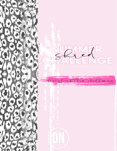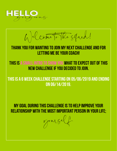

 $U$  come to the squad!

# Thank you for wanting to join my next challenge and for letting me be your coach!

# THIS IS a small intro to show you what to expect out of this new challenge if you decided to join.

# This is a 6 week challenge starting on 05/06/2019 and ending on 06/14/2019.

My goal DURING THIS CHALLENGE is to help improve your relationship with the most important person in your life;

*yoursf.*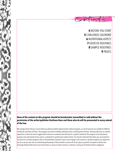BEFORE YOU START CHALLENGE CALENDAR NUTRITIONAL ASPECT EXERCISE ROUTINES SAMPLE ROUTINES **9** PRIZES

 $cohom\$ 

### **None of the content on this program should be broadcasted, transmitted or sold without the permission of the writer/publisher Darihana Nova and those who do will be prosecuted to every extend of the law.**

We strongly advise that you consult with your physician before beginning this workout program, as not all exercises are suitable for different individuals and levels of fitness. This program was built for healthy individuals with a solid baseline of fitness. Darihana Nova has no medical experience or title and cannot suggest which exercises or workouts that will work for a specific individual. This program is for educational purposes only and should not be used as a substitute for professional medical advice. You should understand that when you are involved in any exercise or workout program, there is the possibility of physical injury. If you engage in this exercise or workout program, you agree that you do so at your own risk, are voluntarily participating in these activities, assume all risk of injury to yourself, and agree to release and discharge Darihana Nova from any and all claims or causes of action, known or unknown, arising out of Darihana Nova's negligence.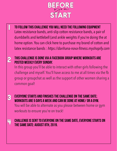

To follow this challenge you will need the following equipment Latex resistance bands, anti-slip cotton resistance bands, a pair of dumbbells and kettlebell (and ankle weights if you're doing the at home option. You can click here to purchase my brand of cotton and latex resistance bands : *[https://darihana-nova-fitness.myshopify.com](https://darihana-nova-fitness.myshopify.com/discount/BROKE)*

### 2 This challenge is done via a facebook group where workouts are posted weekly every Sunday.

In this group you'll be able to interact with other girls following the challenge and myself. You'll have access to me at all times via the fb group or groupchat as well as the support of other women sharing a common goal!

EVERYONE starts and finishes the challenge on the same date; workouts are 5 days a week and can be done at home/ or a gym. You will be able to alternate as you please between home or gym

workouts to ensure you're on track!

1

 $\mathcal{E}$ 

44

CHALLENGE IS SENT TO EVERYONE ON THE SAME DATE, EVERYONE STARTS ON THE SAME DATE: August 8TH, 2019.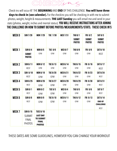CHECKin

Check-ins will occur AT THE **BEGINNING** AND **END** OF THIS CHALLENGE. **You will have three**  days to check in (see calendar). For the checkins you will be checking in with me to submit photos, weight, height & measurements. **THE LAST Sunday** you will email me and send in your stats (photos, weight, inches and mental status). YOU WILL RECEIVE INSTRUCTIONS AFTER JOINING THE challenge ON HOW TO SUBMIT BEFORE PHOTOS/MEASUREMENTS/STATS. These check in's

| <b>WEEK O</b>     | <b>SUN 7/28</b>                                | <b>MON 7/29</b>                                                      | <b>TUE 7/30</b> | <b>WED 7/31</b> | <b>THU 8/1</b>                 | <b>FRI 8/2</b>                 | <b>SAT 8/3</b>                    |
|-------------------|------------------------------------------------|----------------------------------------------------------------------|-----------------|-----------------|--------------------------------|--------------------------------|-----------------------------------|
|                   |                                                |                                                                      |                 |                 | <b>SUBMIT</b><br><b>PHOTOS</b> | <b>SUBMIT</b><br><b>PHOTOS</b> | <b>SUBMIT</b><br><b>PHOTOS</b>    |
|                   |                                                |                                                                      |                 |                 |                                |                                |                                   |
| <b>WEEK1</b>      | <b>SUN 8/4</b>                                 | <b>MON 8/5</b>                                                       | <b>TUE 8/6</b>  | <b>WED 8/7</b>  | <b>THU 8/8</b>                 | <b>FRI 8/9</b>                 | <b>SAT 8/10</b>                   |
|                   | <b>SUBMIT</b><br><b>PHOTOS</b>                 | <b>GYM</b>                                                           | <b>GYM</b>      | <b>GYM</b>      | <b>GYM</b>                     | <b>GYM</b>                     | <b>REST</b>                       |
| <b>WEEK2</b>      | <b>SUN 8/11</b>                                | <b>MON 8/12</b>                                                      | <b>TUE 8/13</b> | <b>WED 8/14</b> | <b>THU 8/15</b>                | <b>FRI 8/16</b>                | <b>SAT 8/17</b>                   |
|                   | <b>REST</b>                                    | GYM                                                                  | GYM             | GYM             | GYM                            | <b>GYM</b>                     | <b>REST</b>                       |
| WEEK <sub>3</sub> | <b>SUN 8/18</b>                                | <b>MON 8/19</b>                                                      | <b>TUE 8/20</b> | <b>WED 8/21</b> | <b>THU 8/22</b>                | <b>FRI 8/23</b>                | <b>SAT 8/24</b>                   |
|                   | <b>REST</b>                                    | <b>GYM</b>                                                           | <b>GYM</b>      | <b>GYM</b>      | <b>GYM</b>                     | <b>GYM</b>                     | <b>REST</b>                       |
| WEEK4             | <b>SUN 8/25</b>                                | <b>MON 8/26</b>                                                      | <b>TUE 8/27</b> | <b>WED 8/28</b> | <b>THU 8/29</b>                | <b>FRI 8/30</b>                | <b>SAT 8/31</b>                   |
|                   | <b>REST</b>                                    | GYM                                                                  | GYM             | <b>GYM</b>      | <b>GYM</b>                     | <b>GYM</b>                     | <b>REST</b>                       |
| WEEK <sub>5</sub> | <b>SUN 9/1</b>                                 | <b>MON 9/2</b>                                                       | <b>TUE 9/3</b>  | <b>WED 9/4</b>  | <b>THU 9/5</b>                 | <b>FRI 9/6</b>                 | <b>SAT 9/7</b>                    |
|                   | <b>REST</b>                                    | <b>GYM</b>                                                           | <b>GYM</b>      | <b>GYM</b>      | <b>GYM</b>                     | <b>GYM</b>                     | <b>REST</b>                       |
| WEEK <sub>6</sub> | <b>SUN 9/8</b>                                 | <b>MON 9/9</b>                                                       | <b>TUE 9/10</b> | <b>WED 9/11</b> | <b>THU 9/12</b>                | <b>FRI 9/13</b>                | <b>SAT 9/14</b>                   |
|                   | <b>REST</b>                                    | GYM                                                                  | <b>GYM</b>      | <b>GYM</b>      | <b>GYM</b>                     | <b>GYM</b>                     | <b>END OF</b><br><b>CHALLENGE</b> |
|                   |                                                |                                                                      |                 |                 |                                |                                | <b>REST</b>                       |
| <b>WEEK7</b>      | <b>SUN 9/15</b>                                | <b>TUES 9/16</b>                                                     |                 |                 |                                |                                |                                   |
|                   | <b>SUBMIT</b><br><b>FINAL</b><br><b>PHOTOS</b> | <b>LAST DAY</b><br><b>TO SUBMIT</b><br><b>FINAL</b><br><b>PHOTOS</b> |                 |                 |                                |                                |                                   |

THESE DATES ARE SOME GUIDELINES, HOWEVER YOU CAN CHANGE YOUR WORKOUT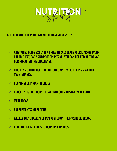

After joining the program you'll have access to:

- $\circ$  A detail ed guide explaining how to calculate your macros (your calorie, fat, carb and protein intake) you can use for reference during/after the challenge.
- $\circ$  This plan can be used for weight gain / weight loss / weight maintenance.
- VEGAN/VEGETARIAN FRIENDLY.
- $\circ$  Grocery list of foods to eat and foods to stay away from.
- Meal ideas.
- Supplement suggestions.
- Weekly meal ideas/recipes posted on the facebook group.
- $\circ$  alternative methods to counting macros.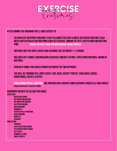

### After joining the program you'll have access to:

- $\circ$  Six weeks of different routines to be followed five days a week (different routines each  $\circ$ week) with detailed instructions such as exercise, amount of sets, repetitions and resting time. Check the next page for an exercise demo/sample!
- $\circ$  Routines are five days a week and sessions last between 1-1.5 hours.
- $\circ$  Includes HITT cardio, bodybuilding exercises (weight lifting), stretching routines, warm up routines.
- $\circ$  Gym or at home (you can alternate between the two options)!
- $\circ$  You will be training full body (chest, ABS, BACK, Biceps/Triceps, Shoulders ,Quads, hamstrings, calves, glutes).
- $\circ$  video demos for all routines are provided on a private vimeo account (VIDEOS all have direct LINKS SO NO HASSLE TO ACCESS THEM!).

#### Equipment needed to follow this guide: GYM OPTION

- RESISTANCE BANDS
- $\circ$  Hip Abduction Machine
- $\circ$  Hip adduction Machine<br> $\circ$  FG PRESS MACHINE
- **LEG PRESS MACHINE**
- Smith Machine
- **DUMBBELLS**<br>○ **ASSISTED PI**
- Assisted Pull-Up Machine
- Cable Machine
- BARBELLS<br>○ GYM MATT
- **GYM MATT**

#### HOME OPTION

- **GYM MATT**
- Latex resistance bands
- **Cotton resistance bands**
- KETTLEBELL<br>○ nimrrfils
- **DUMBBELLS (TWO)**
- Ankle Weights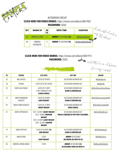

## ACTIVATION CIRCUIT **CLICK HERE FOR VIDEO DEMOS:** *<https://vimeo.com/album/5861903>* **PASSWORD:** SSUC

| <b>SET</b> | <b>WARM UP</b>      | <b>SE</b><br><b>TS</b> | <b>REPS/TIME</b>            | <b>HASHTAG</b>      |
|------------|---------------------|------------------------|-----------------------------|---------------------|
| A1         | <b>BANDED CLAMS</b> |                        | <b>AMRAP 45 SECONDS E/L</b> | #dnfbandedclams     |
| A2         | BANDED<br>KICKBACKS | C<br>J                 | <b>AMRAP 45 SECONDS E/L</b> | #dnfbandedkickbacks |

workouts are in albung

for usy cass!

## **CLICK HERE FOR VIDEO DEMOS:** *<https://vimeo.com/album/5861913>*

**PASSWORD:** SSUC



| <b>SET</b>     | <b>EXERCISE</b>             | <b>SETS &amp; REPS</b>                                                                                                                        | <b>REST TIME</b>                                                          | <b>HASHTAG</b>             |
|----------------|-----------------------------|-----------------------------------------------------------------------------------------------------------------------------------------------|---------------------------------------------------------------------------|----------------------------|
| A1             | <b>BALL PASSES</b>          | 3 SETS OF 20 REPS                                                                                                                             | 30 SECONDS BETWEEN SET                                                    | #dnfballpasses             |
| A2             | <b>PLANKS</b>               | 3 SETS OF 45 SEC HOLDS                                                                                                                        | 30 SECONDS BETWEEN SET                                                    | #dnfplanks                 |
| B <sub>1</sub> | SMITH CALF RAISES           | 4 SETS OF 21 REPS<br>7 IN/7 STRAIGHT/7 OUT<br>(CHECK VIDEO)                                                                                   | 30 SECONDS BETWEEN SET<br><b>SLOW &amp; CONTROLLED</b>                    | #dnfsmithmachinecalfraises |
| C <sub>1</sub> | SMITH ROMANIAN<br>DEADLIFT  | 3 SETS OF 20 REPS<br><b>LIGHT WEIGHT</b>                                                                                                      | 30 SECONDS BETWEEN SET<br><b>SLOW &amp; CONTROLLED</b>                    | #dnfsmithromaniandeadlift  |
| D <sub>1</sub> | SMITH SUMO DEADLIFT         | 3 SETS OF 15 REPS<br><b>HEAVY WEIGHT</b>                                                                                                      | <b>30 SECONDS BETWEEN SET</b><br><b>WIDE STANCE</b>                       | #dnfsmithsumodeadlift      |
| E <sub>1</sub> | SMITH HIPTHRUSTS            | SET1: 16 REPS HEAVY WEIGHT<br>SET2 -18 REPS MEDIUM<br><b>WEIGHT</b><br>SET3 - 20 REPS LIGHT WEIGHT<br>SET4 - 22 REPS LIGHTER<br><b>WEIGHT</b> | 30 SECONDS BETWEEN SET<br><b>HOLD &amp; SQUEEZE AT TOP FOR 5 SECONDS.</b> | #dnfsmithhipthrusts        |
| F <sub>1</sub> | SMITH STEP-UPS              | 3 SETS OF 20 REPS E/L<br><b>LOW WEIGHT</b>                                                                                                    | 30 SECONDS BETWEEN SET<br><b>SLOW &amp; CONTROLLED</b>                    | #dnfsmithstepups           |
| G <sub>1</sub> | <b>ABDUCTIONS</b>           | 3 SETS<br><b>LIGHT WEIGHT</b>                                                                                                                 | <b>AMRAP 30 SECONDS</b><br><b>NO BREAK GO INTO TO G2</b>                  | #dnfabductions             |
| G <sub>2</sub> | <b>BANDED LATERAL WALKS</b> | 3 SETS                                                                                                                                        | <b>AMRAP 30 SECONDS E/L</b><br><b>30 SECONDS THEN GO INTO G1</b>          | #dnfbandedkickbacks        |